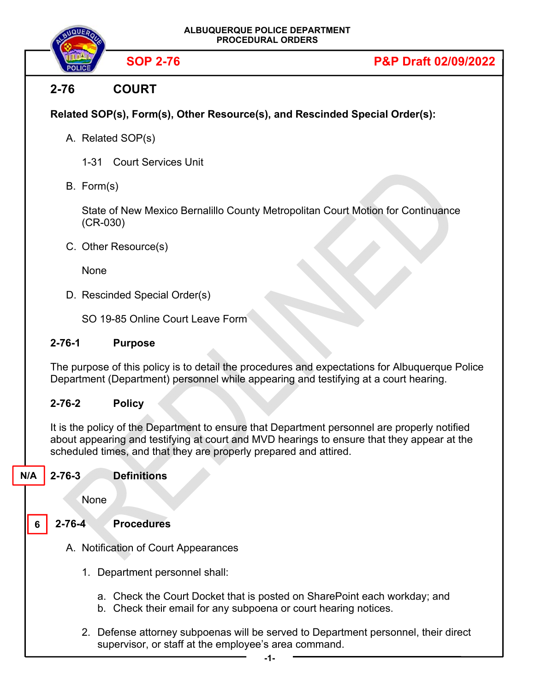

# **2-76 COURT**

**Related SOP(s), Form(s), Other Resource(s), and Rescinded Special Order(s):** 

- A. Related SOP(s)
	- 1-31 Court Services Unit
- B. Form(s)

State of New Mexico Bernalillo County Metropolitan Court Motion for Continuance (CR-030)

C. Other Resource(s)

None

D. Rescinded Special Order(s)

SO 19-85 Online Court Leave Form

### **2-76-1 Purpose**

The purpose of this policy is to detail the procedures and expectations for Albuquerque Police Department (Department) personnel while appearing and testifying at a court hearing.

## **2-76-2 Policy**

It is the policy of the Department to ensure that Department personnel are properly notified about appearing and testifying at court and MVD hearings to ensure that they appear at the scheduled times, and that they are properly prepared and attired.

**2-76-3 Definitions N/A** 

None

#### **2-76-4 Procedures 6**

- A. Notification of Court Appearances
	- 1. Department personnel shall:
		- a. Check the Court Docket that is posted on SharePoint each workday; and
		- b. Check their email for any subpoena or court hearing notices.
	- 2. Defense attorney subpoenas will be served to Department personnel, their direct supervisor, or staff at the employee's area command.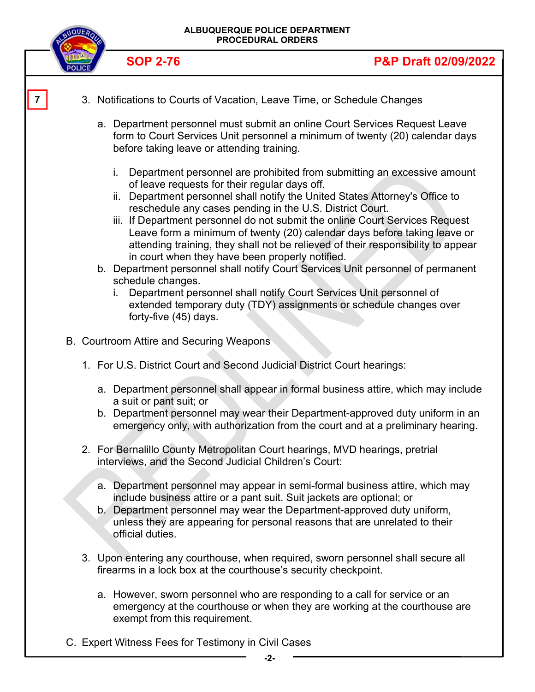

**7** 

- 3. Notifications to Courts of Vacation, Leave Time, or Schedule Changes
	- a. Department personnel must submit an online Court Services Request Leave form to Court Services Unit personnel a minimum of twenty (20) calendar days before taking leave or attending training.
		- i. Department personnel are prohibited from submitting an excessive amount of leave requests for their regular days off.
		- ii. Department personnel shall notify the United States Attorney's Office to reschedule any cases pending in the U.S. District Court.
		- iii. If Department personnel do not submit the online Court Services Request Leave form a minimum of twenty (20) calendar days before taking leave or attending training, they shall not be relieved of their responsibility to appear in court when they have been properly notified.
	- b. Department personnel shall notify Court Services Unit personnel of permanent schedule changes.
		- i. Department personnel shall notify Court Services Unit personnel of extended temporary duty (TDY) assignments or schedule changes over forty-five (45) days.
- B. Courtroom Attire and Securing Weapons
	- 1. For U.S. District Court and Second Judicial District Court hearings:
		- a. Department personnel shall appear in formal business attire, which may include a suit or pant suit; or
		- b. Department personnel may wear their Department-approved duty uniform in an emergency only, with authorization from the court and at a preliminary hearing.
	- 2. For Bernalillo County Metropolitan Court hearings, MVD hearings, pretrial interviews, and the Second Judicial Children's Court:
		- a. Department personnel may appear in semi-formal business attire, which may include business attire or a pant suit. Suit jackets are optional; or
		- b. Department personnel may wear the Department-approved duty uniform, unless they are appearing for personal reasons that are unrelated to their official duties.
	- 3. Upon entering any courthouse, when required, sworn personnel shall secure all firearms in a lock box at the courthouse's security checkpoint.
		- a. However, sworn personnel who are responding to a call for service or an emergency at the courthouse or when they are working at the courthouse are exempt from this requirement.
- C. Expert Witness Fees for Testimony in Civil Cases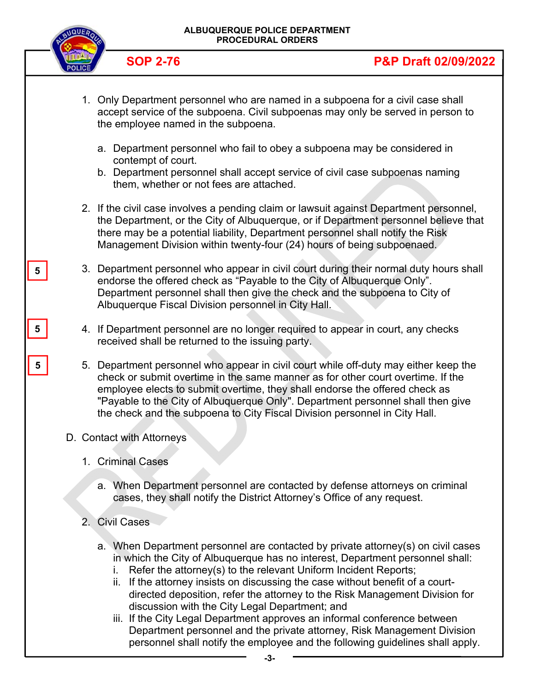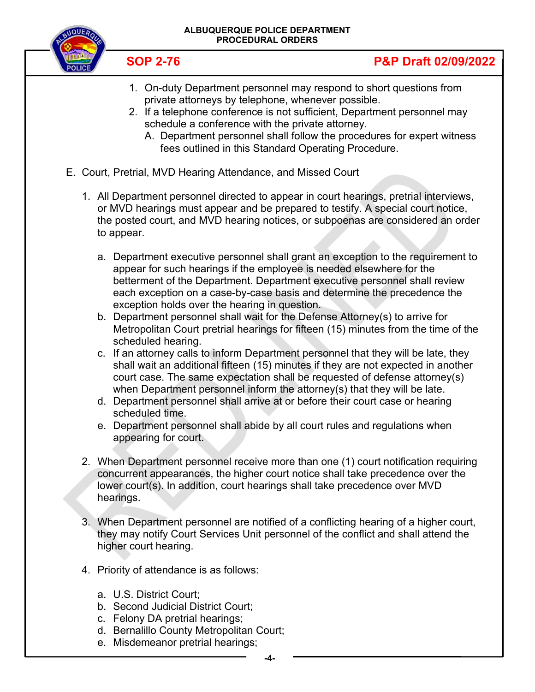### **ALBUQUERQUE POLICE DEPARTMENT PROCEDURAL ORDERS**



# **SOP 2-76 P&P Draft 02/09/2022**

- 1. On-duty Department personnel may respond to short questions from private attorneys by telephone, whenever possible.
- 2. If a telephone conference is not sufficient, Department personnel may schedule a conference with the private attorney.
	- A. Department personnel shall follow the procedures for expert witness fees outlined in this Standard Operating Procedure.
- E. Court, Pretrial, MVD Hearing Attendance, and Missed Court
	- 1. All Department personnel directed to appear in court hearings, pretrial interviews, or MVD hearings must appear and be prepared to testify. A special court notice, the posted court, and MVD hearing notices, or subpoenas are considered an order to appear.
		- a. Department executive personnel shall grant an exception to the requirement to appear for such hearings if the employee is needed elsewhere for the betterment of the Department. Department executive personnel shall review each exception on a case-by-case basis and determine the precedence the exception holds over the hearing in question.
		- b. Department personnel shall wait for the Defense Attorney(s) to arrive for Metropolitan Court pretrial hearings for fifteen (15) minutes from the time of the scheduled hearing.
		- c. If an attorney calls to inform Department personnel that they will be late, they shall wait an additional fifteen (15) minutes if they are not expected in another court case. The same expectation shall be requested of defense attorney(s) when Department personnel inform the attorney(s) that they will be late.
		- d. Department personnel shall arrive at or before their court case or hearing scheduled time.
		- e. Department personnel shall abide by all court rules and regulations when appearing for court.
	- 2. When Department personnel receive more than one (1) court notification requiring concurrent appearances, the higher court notice shall take precedence over the lower court(s). In addition, court hearings shall take precedence over MVD hearings.
	- 3. When Department personnel are notified of a conflicting hearing of a higher court, they may notify Court Services Unit personnel of the conflict and shall attend the higher court hearing.
	- 4. Priority of attendance is as follows:
		- a. U.S. District Court;
		- b. Second Judicial District Court;
		- c. Felony DA pretrial hearings;
		- d. Bernalillo County Metropolitan Court;
		- e. Misdemeanor pretrial hearings;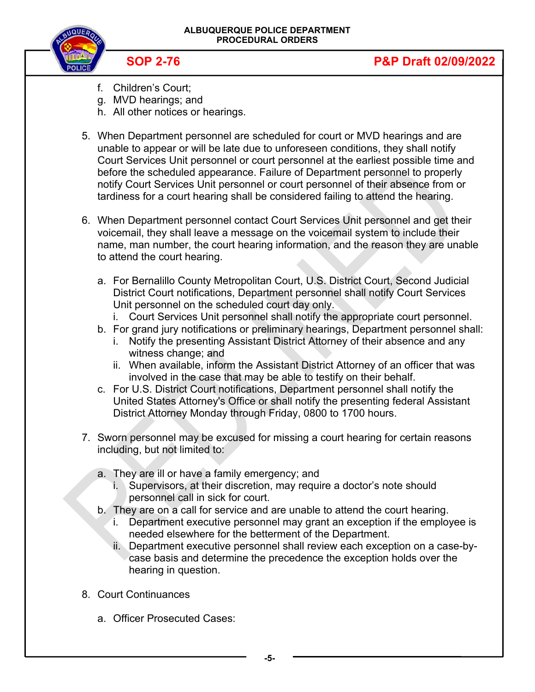**ALBUQUERQUE POLICE DEPARTMENT PROCEDURAL ORDERS** 



## **SOP 2-76 P&P Draft 02/09/2022**

- f. Children's Court;
- g. MVD hearings; and
- h. All other notices or hearings.
- 5. When Department personnel are scheduled for court or MVD hearings and are unable to appear or will be late due to unforeseen conditions, they shall notify Court Services Unit personnel or court personnel at the earliest possible time and before the scheduled appearance. Failure of Department personnel to properly notify Court Services Unit personnel or court personnel of their absence from or tardiness for a court hearing shall be considered failing to attend the hearing.
- 6. When Department personnel contact Court Services Unit personnel and get their voicemail, they shall leave a message on the voicemail system to include their name, man number, the court hearing information, and the reason they are unable to attend the court hearing.
	- a. For Bernalillo County Metropolitan Court, U.S. District Court, Second Judicial District Court notifications, Department personnel shall notify Court Services Unit personnel on the scheduled court day only.
		- i. Court Services Unit personnel shall notify the appropriate court personnel.
	- b. For grand jury notifications or preliminary hearings, Department personnel shall:
		- i. Notify the presenting Assistant District Attorney of their absence and any witness change; and
		- ii. When available, inform the Assistant District Attorney of an officer that was involved in the case that may be able to testify on their behalf.
	- c. For U.S. District Court notifications, Department personnel shall notify the United States Attorney's Office or shall notify the presenting federal Assistant District Attorney Monday through Friday, 0800 to 1700 hours.
- 7. Sworn personnel may be excused for missing a court hearing for certain reasons including, but not limited to:
	- a. They are ill or have a family emergency; and
		- i. Supervisors, at their discretion, may require a doctor's note should personnel call in sick for court.
	- b. They are on a call for service and are unable to attend the court hearing.
		- i. Department executive personnel may grant an exception if the employee is needed elsewhere for the betterment of the Department.
		- ii. Department executive personnel shall review each exception on a case-bycase basis and determine the precedence the exception holds over the hearing in question.
- 8. Court Continuances
	- a. Officer Prosecuted Cases: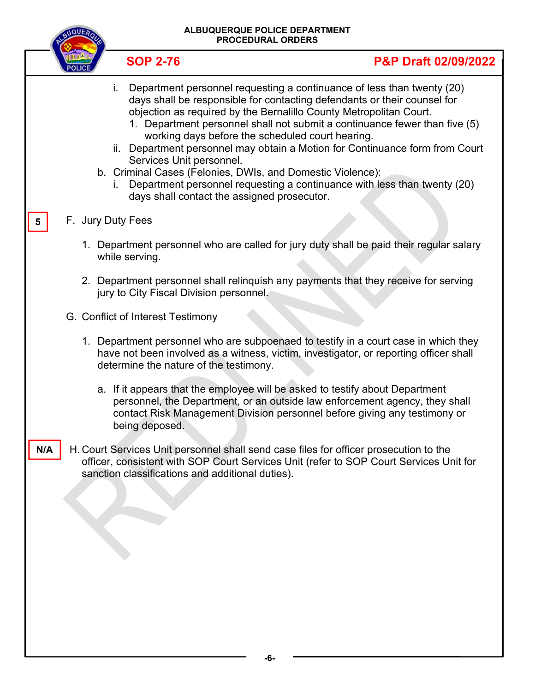|     | ALBUQUERQUE POLICE DEPARTMENT<br><b>PROCEDURAL ORDERS</b> |  |          |                                   |                                                  |                                                                                                                                                                                                                                                                  |                                                                                                                                                                                                                                                                                                                  |
|-----|-----------------------------------------------------------|--|----------|-----------------------------------|--------------------------------------------------|------------------------------------------------------------------------------------------------------------------------------------------------------------------------------------------------------------------------------------------------------------------|------------------------------------------------------------------------------------------------------------------------------------------------------------------------------------------------------------------------------------------------------------------------------------------------------------------|
|     |                                                           |  |          | <b>SOP 2-76</b>                   |                                                  |                                                                                                                                                                                                                                                                  | <b>P&amp;P Draft 02/09/2022</b>                                                                                                                                                                                                                                                                                  |
|     |                                                           |  | İ.<br>İ. | Services Unit personnel.          | days shall contact the assigned prosecutor.      | days shall be responsible for contacting defendants or their counsel for<br>objection as required by the Bernalillo County Metropolitan Court.<br>working days before the scheduled court hearing.<br>b. Criminal Cases (Felonies, DWIs, and Domestic Violence): | Department personnel requesting a continuance of less than twenty (20)<br>1. Department personnel shall not submit a continuance fewer than five (5)<br>ii. Department personnel may obtain a Motion for Continuance form from Court<br>Department personnel requesting a continuance with less than twenty (20) |
|     |                                                           |  |          | F. Jury Duty Fees                 |                                                  |                                                                                                                                                                                                                                                                  |                                                                                                                                                                                                                                                                                                                  |
|     |                                                           |  |          | while serving.                    |                                                  |                                                                                                                                                                                                                                                                  | 1. Department personnel who are called for jury duty shall be paid their regular salary                                                                                                                                                                                                                          |
|     |                                                           |  |          |                                   | jury to City Fiscal Division personnel.          |                                                                                                                                                                                                                                                                  | 2. Department personnel shall relinquish any payments that they receive for serving                                                                                                                                                                                                                              |
|     |                                                           |  |          | G. Conflict of Interest Testimony |                                                  |                                                                                                                                                                                                                                                                  |                                                                                                                                                                                                                                                                                                                  |
|     |                                                           |  |          |                                   | determine the nature of the testimony.           |                                                                                                                                                                                                                                                                  | 1. Department personnel who are subpoenaed to testify in a court case in which they<br>have not been involved as a witness, victim, investigator, or reporting officer shall                                                                                                                                     |
|     |                                                           |  |          | being deposed.                    |                                                  | a. If it appears that the employee will be asked to testify about Department                                                                                                                                                                                     | personnel, the Department, or an outside law enforcement agency, they shall<br>contact Risk Management Division personnel before giving any testimony or                                                                                                                                                         |
| N/A |                                                           |  |          |                                   | sanction classifications and additional duties). | H. Court Services Unit personnel shall send case files for officer prosecution to the                                                                                                                                                                            | officer, consistent with SOP Court Services Unit (refer to SOP Court Services Unit for                                                                                                                                                                                                                           |
|     |                                                           |  |          |                                   |                                                  |                                                                                                                                                                                                                                                                  |                                                                                                                                                                                                                                                                                                                  |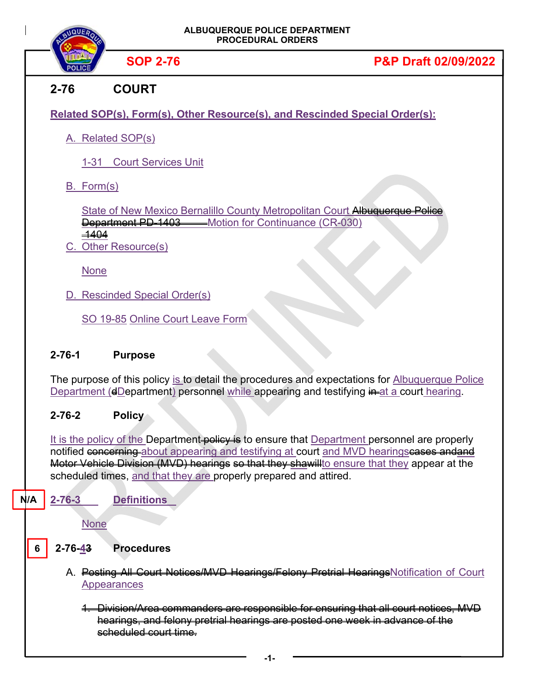

# **2-76 COURT**

**Related SOP(s), Form(s), Other Resource(s), and Rescinded Special Order(s):** 

- A. Related SOP(s)
	- 1-31 Court Services Unit
- B. Form(s)

State of New Mexico Bernalillo County Metropolitan Court Albuquerque Police **Department PD-1403** Motion for Continuance (CR-030)

 1404 C. Other Resource(s)

None

D. Rescinded Special Order(s)

SO 19-85 Online Court Leave Form

## **2-76-1 Purpose**

The purpose of this policy is to detail the procedures and expectations for Albuquerque Police Department (dDepartment) personnel while appearing and testifying in at a court hearing.

## **2-76-2 Policy**

It is the policy of the Department-policy is to ensure that Department personnel are properly notified concerning about appearing and testifying at court and MVD hearingscases and and Motor Vehicle Division (MVD) hearings so that they shawill to ensure that they appear at the scheduled times, and that they are properly prepared and attired.

**2-76-3 Definitions N/A** 

None

#### **2-76-43 Procedures 6**

- A. Posting All Court Notices/MVD Hearings/Felony Pretrial Hearings Notification of Court Appearances
	- 1. Division/Area commanders are responsible for ensuring that all court notices, MVD hearings, and felony pretrial hearings are posted one week in advance of the scheduled court time.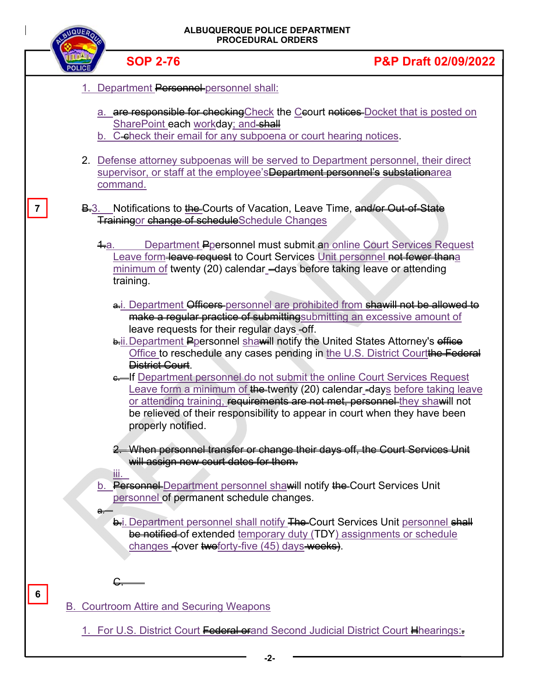|  | <b>ALBUQUERQUE POLICE DEPARTMENT</b><br><b>PROCEDURAL ORDERS</b>                                                                                                                             |                                                                                |  |
|--|----------------------------------------------------------------------------------------------------------------------------------------------------------------------------------------------|--------------------------------------------------------------------------------|--|
|  | <b>SOP 2-76</b>                                                                                                                                                                              | <b>P&amp;P Draft 02/09/2022</b>                                                |  |
|  | Department Personnel personnel shall:                                                                                                                                                        |                                                                                |  |
|  | a. are responsible for checking Check the Ceourt notices Docket that is posted on<br>SharePoint each workday; and shall<br>b. C check their email for any subpoena or court hearing notices. |                                                                                |  |
|  | 2. Defense attorney subpoenas will be served to Department personnel, their direct<br>supervisor, or staff at the employee's Department personnel's substationarea<br><u>command.</u>        |                                                                                |  |
|  | <b>B.3.</b> Notifications to the Courts of Vacation, Leave Time, and/or Out-of-State<br>Trainingor change of schedule Schedule Changes                                                       |                                                                                |  |
|  | <b>1</b> .a.<br>Leave form-leave request to Court Services Unit personnel not fewer thana<br>minimum of twenty (20) calendar - days before taking leave or attending<br>training.            | Department Ppersonnel must submit an online Court Services Request             |  |
|  |                                                                                                                                                                                              | i Department Officers personnel are probibited from eboutill not be allowed to |  |

- a.i. Department Officers personnel are prohibited from shawill not be allowed to make a regular practice of submittingsubmitting an excessive amount of leave requests for their regular days -off.
- b.ii. Department Ppersonnel shawill notify the United States Attorney's effice Office to reschedule any cases pending in the U.S. District Courtthe Federal District Court.
- e-If Department personnel do not submit the online Court Services Request Leave form a minimum of the twenty (20) calendar -days before taking leave or attending training, requirements are not met, personnel they shawill not be relieved of their responsibility to appear in court when they have been properly notified.
- 2. When personnel transfer or change their days off, the Court Services Unit will assign new court dates for them.
- iii.

a.

**7** 

- b. Personnel Department personnel shawill notify the Court Services Unit personnel of permanent schedule changes.
	- **b.** i. Department personnel shall notify The Court Services Unit personnel shall be notified of extended temporary duty (TDY) assignments or schedule changes (over tweforty-five  $(45)$  days weeks).
- $G_{\overline{C}}$

**6** 

- B. Courtroom Attire and Securing Weapons
	- 1. For U.S. District Court Federal orand Second Judicial District Court Hhearings: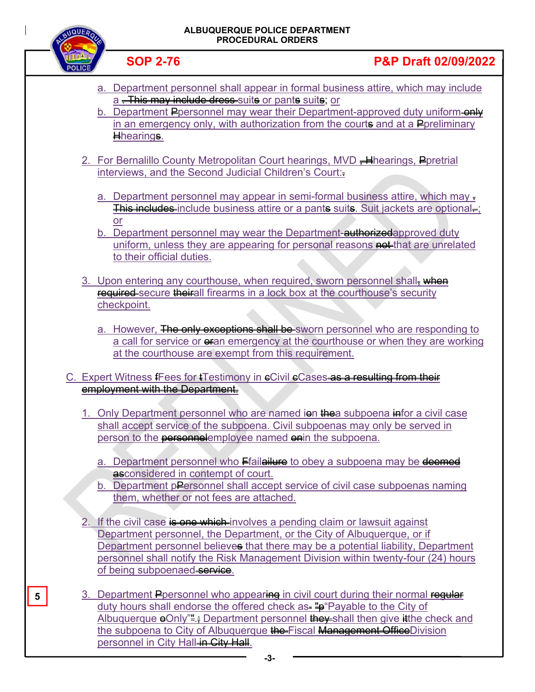### **ALBUQUERQUE POLICE DEPARTMENT PROCEDURAL ORDERS**



**5** 

- a. Department personnel shall appear in formal business attire, which may include a <del>. This may include dress</del> suits or pants suits; or
- b. Department Poersonnel may wear their Department-approved duty uniform-only in an emergency only, with authorization from the courts and at a Ppreliminary Hhearings.
- 2. For Bernalillo County Metropolitan Court hearings, MVD <del>H</del>hearings, Poretrial interviews, and the Second Judicial Children's Court:.
	- a. Department personnel may appear in semi-formal business attire, which may . This includes include business attire or a pants suits. Suit jackets are optional-; or
	- b. Department personnel may wear the Department-authorized approved duty uniform, unless they are appearing for personal reasons not that are unrelated to their official duties.
- 3. Upon entering any courthouse, when required, sworn personnel shall, when required secure theirall firearms in a lock box at the courthouse's security checkpoint.
	- a. However, The only exceptions shall be sworn personnel who are responding to a call for service or  $\theta$  an emergency at the courthouse or when they are working at the courthouse are exempt from this requirement.
- C. Expert Witness fFees for tTestimony in eCivil eCases as a resulting from their employment with the Department.
	- 1. Only Department personnel who are named ion thea subpoena infor a civil case shall accept service of the subpoena. Civil subpoenas may only be served in person to the **personnel**employee named onin the subpoena.
		- a. Department personnel who Ffailailure to obey a subpoena may be deemed asconsidered in contempt of court.
		- b. Department pPersonnel shall accept service of civil case subpoenas naming them, whether or not fees are attached.
	- 2. If the civil case is one which involves a pending claim or lawsuit against Department personnel, the Department, or the City of Albuquerque, or if Department personnel believes that there may be a potential liability, Department personnel shall notify the Risk Management Division within twenty-four (24) hours of being subpoenaed service.
	- 3. Department Peprsonnel who appearing in civil court during their normal regular duty hours shall endorse the offered check as- "p"Payable to the City of Albuquerque oOnly"=<sub>i</sub>; Department personnel they shall then give itthe check and the subpoena to City of Albuquerque the Fiscal Management OfficeDivision personnel in City Hall in City Hall.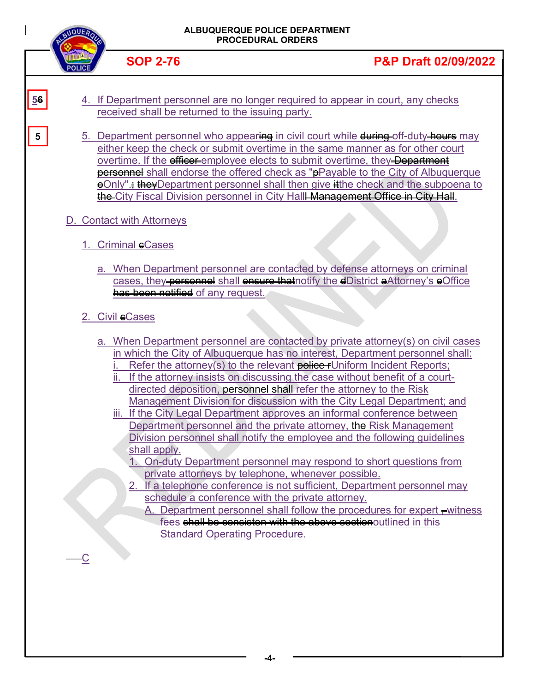| <b>AUQUER</b>   |                                                                                          | ALBUQUERQUE POLICE DEPARTMENT<br><b>PROCEDURAL ORDERS</b>                                                                                                                                                                                                                                                                                                                                                                                                                                                                |
|-----------------|------------------------------------------------------------------------------------------|--------------------------------------------------------------------------------------------------------------------------------------------------------------------------------------------------------------------------------------------------------------------------------------------------------------------------------------------------------------------------------------------------------------------------------------------------------------------------------------------------------------------------|
|                 | <b>SOP 2-76</b>                                                                          | <b>P&amp;P Draft 02/09/2022</b>                                                                                                                                                                                                                                                                                                                                                                                                                                                                                          |
| 56              | received shall be returned to the issuing party.                                         | 4. If Department personnel are no longer required to appear in court, any checks                                                                                                                                                                                                                                                                                                                                                                                                                                         |
| $5\phantom{.0}$ |                                                                                          | 5. Department personnel who appearing in civil court while during-off-duty-hours may<br>either keep the check or submit overtime in the same manner as for other court<br>overtime. If the efficer-employee elects to submit overtime, they-Department<br>personnel shall endorse the offered check as "pPayable to the City of Albuquerque<br><b>eOnly" they</b> Department personnel shall then give tthe check and the subpoena to<br>the City Fiscal Division personnel in City Hall Management Office in City Hall. |
|                 | D. Contact with Attorneys                                                                |                                                                                                                                                                                                                                                                                                                                                                                                                                                                                                                          |
|                 | 1. Criminal eCases<br>has been notified of any request.                                  | a. When Department personnel are contacted by defense attorneys on criminal<br>cases, they-personnel shall ensure that notify the dDistrict a Attorney's eOffice                                                                                                                                                                                                                                                                                                                                                         |
|                 | 2. Civil eCases                                                                          | a. When Department personnel are contacted by private attorney(s) on civil cases<br>in which the City of Albuquerque has no interest, Department personnel shall:<br>Refer the attorney(s) to the relevant police FUniform Incident Reports;<br>ii. If the attorney insists on discussing the case without benefit of a court-                                                                                                                                                                                           |
|                 | shall apply.                                                                             | directed deposition, personnel shall refer the attorney to the Risk<br>Management Division for discussion with the City Legal Department; and<br>iii. If the City Legal Department approves an informal conference between<br>Department personnel and the private attorney, the Risk Management<br>Division personnel shall notify the employee and the following guidelines                                                                                                                                            |
|                 | schedule a conference with the private attorney.<br><b>Standard Operating Procedure.</b> | 1. On-duty Department personnel may respond to short questions from<br>private attorneys by telephone, whenever possible.<br>2. If a telephone conference is not sufficient, Department personnel may<br>A. Department personnel shall follow the procedures for expert -witness<br>fees shall be consisten with the above section outlined in this                                                                                                                                                                      |
|                 |                                                                                          |                                                                                                                                                                                                                                                                                                                                                                                                                                                                                                                          |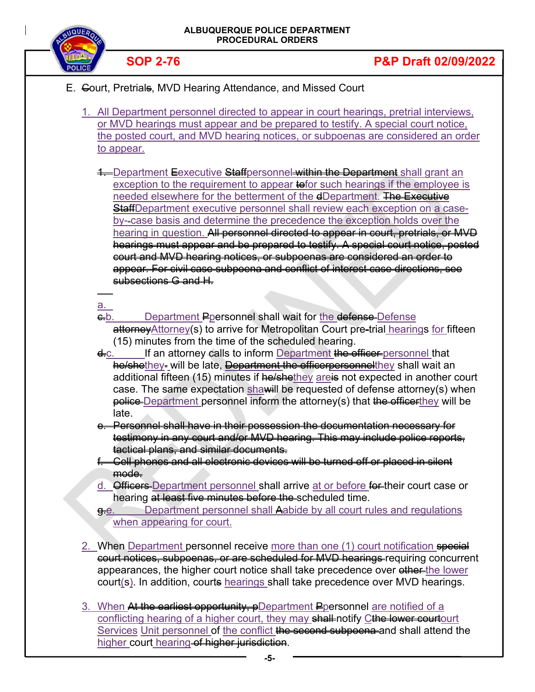

# **SOP 2-76 P&P Draft 02/09/2022**

- E. Gourt, Pretrials, MVD Hearing Attendance, and Missed Court
	- 1. All Department personnel directed to appear in court hearings, pretrial interviews, or MVD hearings must appear and be prepared to testify. A special court notice, the posted court, and MVD hearing notices, or subpoenas are considered an order to appear.
		- **1.** Department Eexecutive Staffpersonnel within the Department shall grant an exception to the requirement to appear to for such hearings if the employee is needed elsewhere for the betterment of the **eDepartment**. The Executive StaffDepartment executive personnel shall review each exception on a caseby- case basis and determine the precedence the exception holds over the hearing in question. All personnel directed to appear in court, pretrials, or MVD hearings must appear and be prepared to testify. A special court notice, posted court and MVD hearing notices, or subpoenas are considered an order to appear. For civil case subpoena and conflict of interest case directions, see subsections G and H.

l a.

- eb. Department Ppersonnel shall wait for the defense Defense attorneyAttorney(s) to arrive for Metropolitan Court pre-trial hearings for fifteen (15) minutes from the time of the scheduled hearing.
- e. If an attorney calls to inform Department the officer personnel that he/shethey- will be late, Department the officerpersonnelthey shall wait an additional fifteen (15) minutes if he/shethey areis not expected in another court case. The same expectation shawill be requested of defense attorney(s) when police Department personnel inform the attorney(s) that the officerthey will be late.
- e. Personnel shall have in their possession the documentation necessary for testimony in any court and/or MVD hearing. This may include police reports, tactical plans, and similar documents.
- f. Cell phones and all electronic devices will be turned off or placed in silent mode.
- d. **Officers-Department personnel shall arrive at or before for their court case or** hearing at least five minutes before the scheduled time.
- g.e. Department personnel shall Aabide by all court rules and regulations when appearing for court.
- 2. When Department personnel receive more than one (1) court notification special court notices, subpoenas, or are scheduled for MVD hearings requiring concurrent appearances, the higher court notice shall take precedence over ether the lower court(s). In addition, courts hearings shall take precedence over MVD hearings.
- 3. When At the earliest opportunity, pDepartment Ppersonnel are notified of a conflicting hearing of a higher court, they may shall notify Cthe lower courtourt Services Unit personnel of the conflict the second subpoena and shall attend the higher court hearing of higher jurisdiction.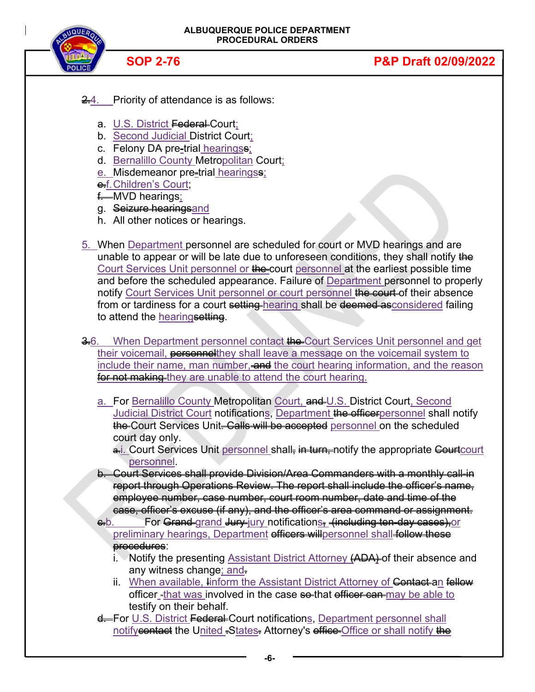

- 2.4. Priority of attendance is as follows:
	- a. U.S. District Federal Court;
	- b. Second Judicial District Court;
	- c. Felony DA pre-trial hearingss;
	- d. Bernalillo County Metropolitan Court;
	- e. Misdemeanor pre-trial hearingss;
	- e.f. Children's Court;
	- f. MVD hearings;
	- g. Seizure hearingsand
	- h. All other notices or hearings.
- 5. When Department personnel are scheduled for court or MVD hearings and are unable to appear or will be late due to unforeseen conditions, they shall notify the Court Services Unit personnel or the court personnel at the earliest possible time and before the scheduled appearance. Failure of Department personnel to properly notify Court Services Unit personnel or court personnel the court of their absence from or tardiness for a court setting hearing shall be deemed asconsidered failing to attend the hearingsetting.
- 3.6. When Department personnel contact the Court Services Unit personnel and get their voicemail, **personnel**they shall leave a message on the voicemail system to include their name, man number, and the court hearing information, and the reason for not making they are unable to attend the court hearing.
	- a. For Bernalillo County Metropolitan Court, and U.S. District Court, Second Judicial District Court notifications, Department the officerpersonnel shall notify the Court Services Unit. Calls will be accepted personnel on the scheduled court day only.
		- a.i. Court Services Unit personnel shall, in turn, notify the appropriate Courtcourt personnel.
	- b. Court Services shall provide Division/Area Commanders with a monthly call-in report through Operations Review. The report shall include the officer's name, employee number, case number, court room number, date and time of the case, officer's excuse (if any), and the officer's area command or assignment.
	- eb. For Grand grand Jury jury notifications, (including ten-day cases), or preliminary hearings, Department efficers will personnel shall follow these procedures:
		- i. Notify the presenting Assistant District Attorney (ADA) of their absence and any witness change; and.
		- ii. When available, Iinform the Assistant District Attorney of Contact an fellow officer -that was involved in the case so that officer can may be able to testify on their behalf.
	- d. For U.S. District Federal Court notifications, Department personnel shall notifycontact the United -States - Attorney's office Office or shall notify the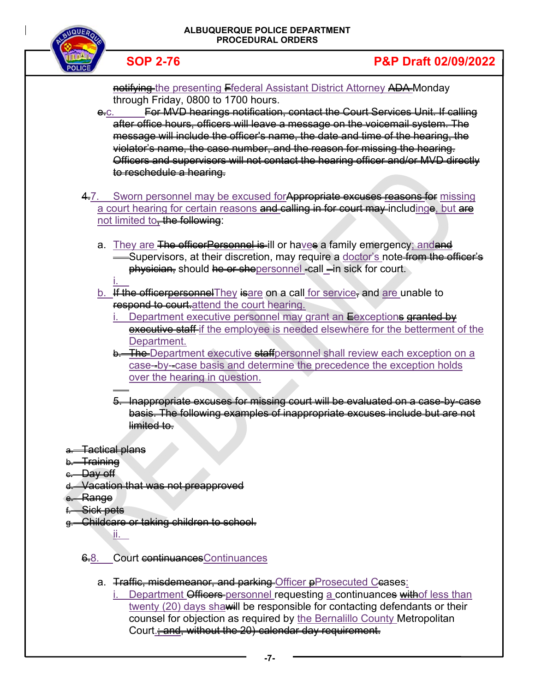

# **SOP 2-76 P&P Draft 02/09/2022**

notifying the presenting Ffederal Assistant District Attorney ADA Monday through Friday, 0800 to 1700 hours.

- e.c. For MVD hearings notification, contact the Court Services Unit. If calling after office hours, officers will leave a message on the voicemail system. The message will include the officer's name, the date and time of the hearing, the violator's name, the case number, and the reason for missing the hearing. Officers and supervisors will not contact the hearing officer and/or MVD directly to reschedule a hearing.
- 4.7. Sworn personnel may be excused for Appropriate excuses reasons for missing a court hearing for certain reasons and calling in for court may includinge, but are not limited to, the following:
	- a. They are The officer Personnel is ill or haves a family emergency; and and Supervisors, at their discretion, may require a doctor's note from the officer's physician, should he or shepersonnel -call - in sick for court. i.
	- b. If the officerpersonnel They is are on a call for service, and are unable to respond to court attend the court hearing.
		- i. Department executive personnel may grant an  $\equiv$  exceptions granted by executive staff-if the employee is needed elsewhere for the betterment of the Department.
		- **b.** The Department executive staffpersonnel shall review each exception on a case- by- case basis and determine the precedence the exception holds over the hearing in question.
		- 5. Inappropriate excuses for missing court will be evaluated on a case-by-case basis. The following examples of inappropriate excuses include but are not limited to.
- a. Tactical plans

-

- b. Training
- e<del>. Day off</del>
- d. Vacation that was not preapproved
- e. Range
- f. Sick pets
- g. Childcare or taking children to school.
	- ii.
	- 6.8. Court continuances Continuances
		- a. Traffic, misdemeanor, and parking Officer pProsecuted Ceases:
			- Department Officers personnel requesting a continuances withof less than twenty (20) days shawill be responsible for contacting defendants or their counsel for objection as required by the Bernalillo County Metropolitan Court.; and, without the 20)-calendar day requirement.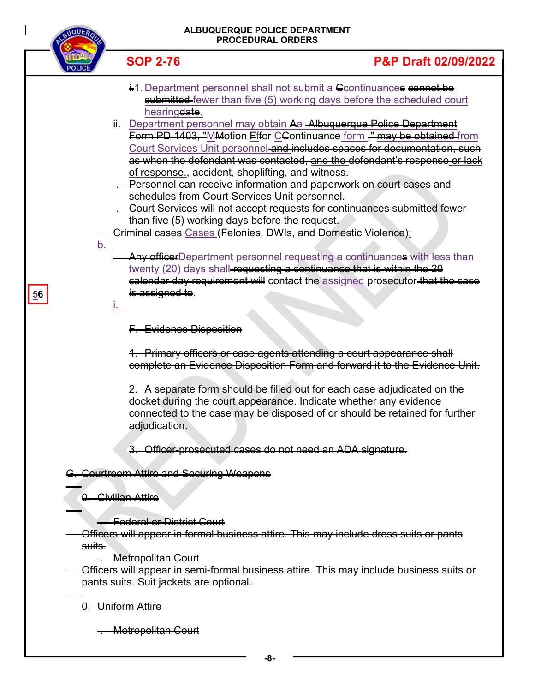|                                | ALBUQUERQUE POLICE DEPARTMENT<br><b>PROCEDURAL ORDERS</b>                                                                                                                                                                                                                                                                                                     |                                 |
|--------------------------------|---------------------------------------------------------------------------------------------------------------------------------------------------------------------------------------------------------------------------------------------------------------------------------------------------------------------------------------------------------------|---------------------------------|
|                                | <b>SOP 2-76</b>                                                                                                                                                                                                                                                                                                                                               | <b>P&amp;P Draft 02/09/2022</b> |
|                                | i-1. Department personnel shall not submit a Ccontinuances cannot be<br>submitted fewer than five (5) working days before the scheduled court<br>hearingdate.                                                                                                                                                                                                 |                                 |
|                                | ii. Department personnel may obtain Aa Albuquerque Police Department<br>Form PD 1403, "MMotion Effor CContinuance form ," may be obtained from<br>Court Services Unit personnel and includes spaces for documentation, such<br>as when the defendant was contacted, and the defendant's response or lack<br>of response., accident, shoplifting, and witness. |                                 |
|                                | - Personnel can receive information and paperwork on court cases and                                                                                                                                                                                                                                                                                          |                                 |
|                                | schedules from Court Services Unit personnel.<br>Court Services will not accept requests for continuances submitted fewer<br>than five (5) working days before the request.<br>-Criminal <del>cases Cases</del> (Felonies, DWIs, and Domestic Violence) <u>:</u>                                                                                              |                                 |
| <u>b. </u><br>$\underline{56}$ | Any officer Department personnel requesting a continuances with less than<br>twenty (20) days shall-requesting a continuance that is within the 20<br>ealendar day requirement will contact the assigned prosecutor that the case<br>is assigned to.                                                                                                          |                                 |
|                                | <b>F. Evidence Disposition</b>                                                                                                                                                                                                                                                                                                                                |                                 |
|                                | 1. Primary officers or case agents attending a court appearance shall<br>complete an Evidence Disposition Form and forward it to the Evidence Unit.                                                                                                                                                                                                           |                                 |
|                                | A separate form should be filled out for each case adjudicated on the<br>docket during the court appearance. Indicate whether any evidence<br>connected to the case may be disposed of or should be retained for further<br><del>adjudication.</del>                                                                                                          |                                 |
|                                | Officer-prosecuted cases do not need an ADA signature.                                                                                                                                                                                                                                                                                                        |                                 |
|                                | G. Courtroom Attire and Securing Weapons<br>0. Civilian Attire                                                                                                                                                                                                                                                                                                |                                 |
|                                | - Federal or District Court                                                                                                                                                                                                                                                                                                                                   |                                 |
| <del>suits.</del>              | Officers will appear in formal business attire. This may include dress suits or pants                                                                                                                                                                                                                                                                         |                                 |
|                                | - Metropolitan Court<br>Officers will appear in semi-formal business attire. This may include business suits or                                                                                                                                                                                                                                               |                                 |
|                                | pants suits. Suit jackets are optional.                                                                                                                                                                                                                                                                                                                       |                                 |
|                                | 0. Uniform Attire                                                                                                                                                                                                                                                                                                                                             |                                 |
|                                | - Metropolitan Court                                                                                                                                                                                                                                                                                                                                          |                                 |

 $\begin{array}{c} \hline \end{array}$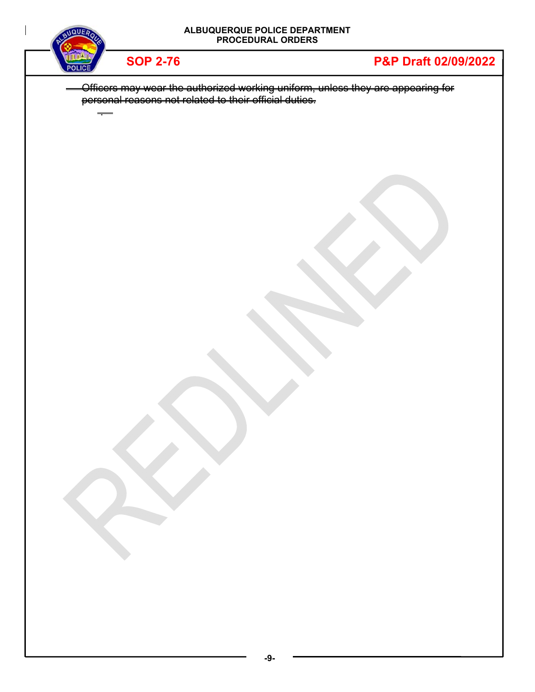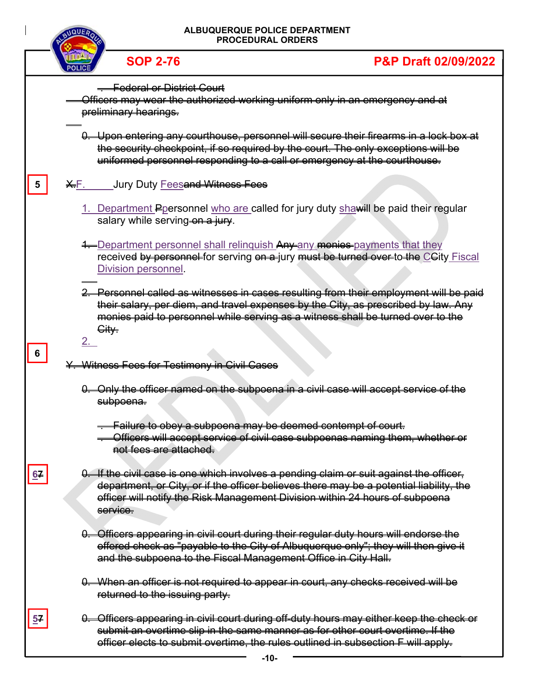

**5** 

**6** 

**67** 

**57** 

# **SOP 2-76 P&P Draft 02/09/2022**

| <b>Federal or District Court</b><br>Officers may wear the authorized working uniform only in an emergency and at<br>preliminary hearings.                                                                                                                                           |
|-------------------------------------------------------------------------------------------------------------------------------------------------------------------------------------------------------------------------------------------------------------------------------------|
| 0. Upon entering any courthouse, personnel will secure their firearms in a lock box at<br>the security checkpoint, if so required by the court. The only exceptions will be<br>uniformed personnel responding to a call or emergency at the courthouse.                             |
| <b>X.F.</b> Jury Duty Feesand Witness Fees                                                                                                                                                                                                                                          |
| 1. Department Ppersonnel who are called for jury duty shawill be paid their regular<br>salary while serving on a jury.                                                                                                                                                              |
| 4 Department personnel shall relinquish Any any monies payments that they<br>receive <del>d by personnel</del> for serving on a jury must be turned over to the CGity Fiscal<br><b>Division personnel</b>                                                                           |
| 2. Personnel called as witnesses in cases resulting from their employment will be paid<br>their salary, per diem, and travel expenses by the City, as prescribed by law. Any<br>monies paid to personnel while serving as a witness shall be turned over to the<br><del>City.</del> |
| <u>2. </u>                                                                                                                                                                                                                                                                          |
|                                                                                                                                                                                                                                                                                     |
| <b>Y. Witness Fees for Testimony in Civil Cases</b>                                                                                                                                                                                                                                 |
| 0. Only the officer named on the subpoena in a civil case will accept service of the<br>subpoena.                                                                                                                                                                                   |
| - Failure to obey a subpoena may be deemed contempt of court.<br>-Officers will accept service of civil case subpoenas naming them, whether or<br>not fees are attached.                                                                                                            |
| 0. If the civil case is one which involves a pending claim or suit against the officer,<br>department, or City, or if the officer believes there may be a potential liability, the<br>efficer will notify the Risk Management Division within 24 hours of subpoena<br>service.      |
| 0. Officers appearing in civil court during their regular duty hours will endorse the<br>effered check as "payable to the City of Albuquerque only"; they will then give it<br>and the subpoena to the Fiscal Management Office in City Hall.                                       |
| 0. When an officer is not required to appear in court, any checks received will be<br>returned to the issuing party.                                                                                                                                                                |
| 0. Officers appearing in civil court during off-duty hours may either keep the check or<br>submit an overtime slip in the same manner as for other court overtime. If the<br>officer elects to submit overtime, the rules outlined in subsection F will apply.                      |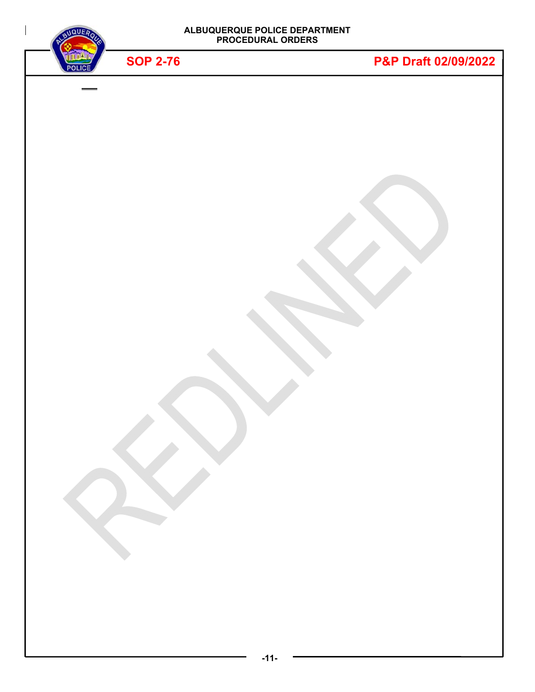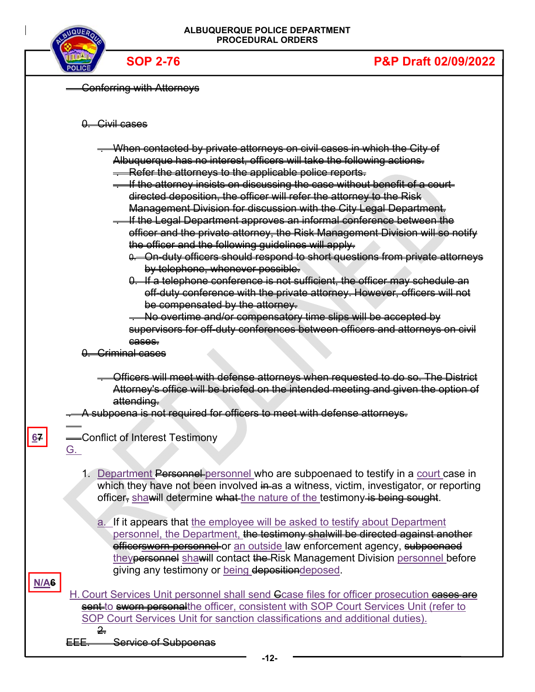

Conferring with Attorneys

# **SOP 2-76 P&P Draft 02/09/2022**

|  | عمعهم لنبيتك        |
|--|---------------------|
|  | <del>ovnodovo</del> |

- . When contacted by private attorneys on civil cases in which the City of Albuquerque has no interest, officers will take the following actions.
	- .. Refer the attorneys to the applicable police reports.
	- . If the attorney insists on discussing the case without benefit of a courtdirected deposition, the officer will refer the attorney to the Risk Management Division for discussion with the City Legal Department.
	- . If the Legal Department approves an informal conference between the officer and the private attorney, the Risk Management Division will so notify the officer and the following guidelines will apply.
		- 0. On-duty officers should respond to short questions from private attorneys by telephone, whenever possible.
		- 0. If a telephone conference is not sufficient, the officer may schedule an off-duty conference with the private attorney. However, officers will not be compensated by the attorney.

 $\rightarrow$  No overtime and/or compensatory time slips will be accepted by supervisors for off-duty conferences between officers and attorneys on civil cases.

- 0. Criminal cases
	- . Officers will meet with defense attorneys when requested to do so. The District Attorney's office will be briefed on the intended meeting and given the option of attending.

. A subpoena is not required for officers to meet with defense attorneys.

**-Conflict of Interest Testimony** 

**67** 

**N/A6** 

-

G.

- 1. Department Personnel personnel who are subpoenaed to testify in a court case in which they have not been involved  $\frac{1}{n}$  as a witness, victim, investigator, or reporting officer, shawill determine what the nature of the testimony is being sought.
	- a. If it appears that the employee will be asked to testify about Department personnel, the Department, the testimony shalwill be directed against another officersworn personnel or an outside law enforcement agency, subpoenaed theypersonnel shawill contact the Risk Management Division personnel before giving any testimony or being depositiondeposed.

H. Court Services Unit personnel shall send Gcase files for officer prosecution cases are sent to swern personalthe officer, consistent with SOP Court Services Unit (refer to SOP Court Services Unit for sanction classifications and additional duties).